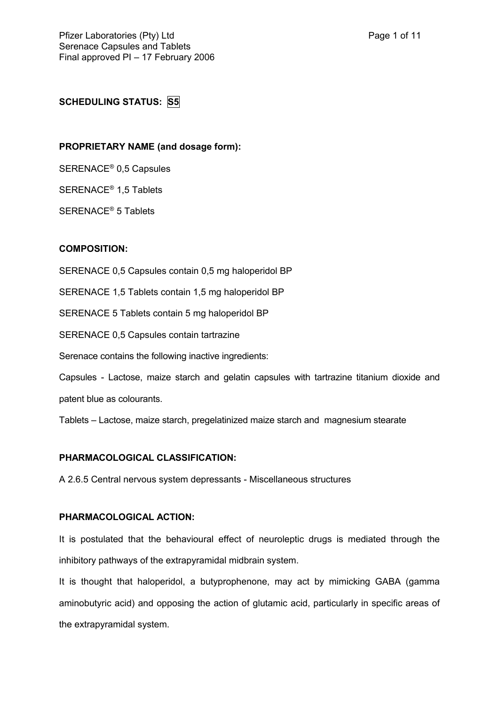## **SCHEDULING STATUS: S5**

## **PROPRIETARY NAME (and dosage form):**

SERENACE® 0,5 Capsules

SERENACE® 1,5 Tablets

SERENACE® 5 Tablets

## **COMPOSITION:**

SERENACE 0,5 Capsules contain 0,5 mg haloperidol BP

SERENACE 1,5 Tablets contain 1,5 mg haloperidol BP

SERENACE 5 Tablets contain 5 mg haloperidol BP

SERENACE 0,5 Capsules contain tartrazine

Serenace contains the following inactive ingredients:

Capsules - Lactose, maize starch and gelatin capsules with tartrazine titanium dioxide and patent blue as colourants.

Tablets – Lactose, maize starch, pregelatinized maize starch and magnesium stearate

## **PHARMACOLOGICAL CLASSIFICATION:**

A 2.6.5 Central nervous system depressants - Miscellaneous structures

#### **PHARMACOLOGICAL ACTION:**

It is postulated that the behavioural effect of neuroleptic drugs is mediated through the inhibitory pathways of the extrapyramidal midbrain system.

It is thought that haloperidol, a butyprophenone, may act by mimicking GABA (gamma aminobutyric acid) and opposing the action of glutamic acid, particularly in specific areas of the extrapyramidal system.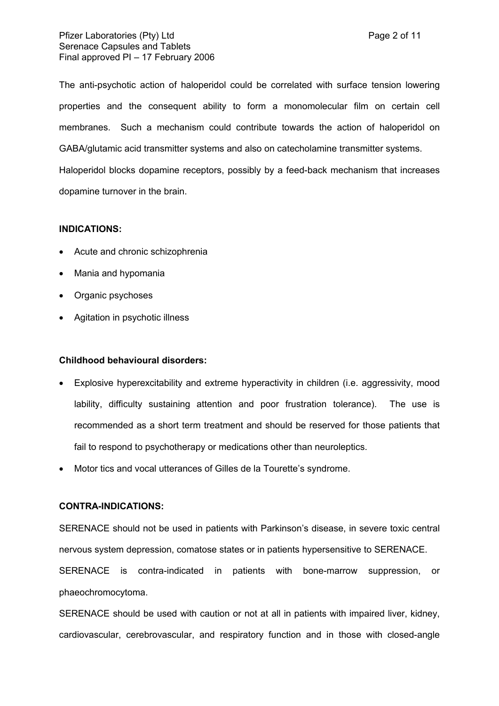The anti-psychotic action of haloperidol could be correlated with surface tension lowering properties and the consequent ability to form a monomolecular film on certain cell membranes. Such a mechanism could contribute towards the action of haloperidol on GABA/glutamic acid transmitter systems and also on catecholamine transmitter systems.

Haloperidol blocks dopamine receptors, possibly by a feed-back mechanism that increases dopamine turnover in the brain.

#### **INDICATIONS:**

- Acute and chronic schizophrenia
- Mania and hypomania
- Organic psychoses
- Agitation in psychotic illness

## **Childhood behavioural disorders:**

- Explosive hyperexcitability and extreme hyperactivity in children (i.e. aggressivity, mood lability, difficulty sustaining attention and poor frustration tolerance). The use is recommended as a short term treatment and should be reserved for those patients that fail to respond to psychotherapy or medications other than neuroleptics.
- Motor tics and vocal utterances of Gilles de la Tourette's syndrome.

## **CONTRA-INDICATIONS:**

SERENACE should not be used in patients with Parkinson's disease, in severe toxic central nervous system depression, comatose states or in patients hypersensitive to SERENACE. SERENACE is contra-indicated in patients with bone-marrow suppression, or

phaeochromocytoma.

SERENACE should be used with caution or not at all in patients with impaired liver, kidney, cardiovascular, cerebrovascular, and respiratory function and in those with closed-angle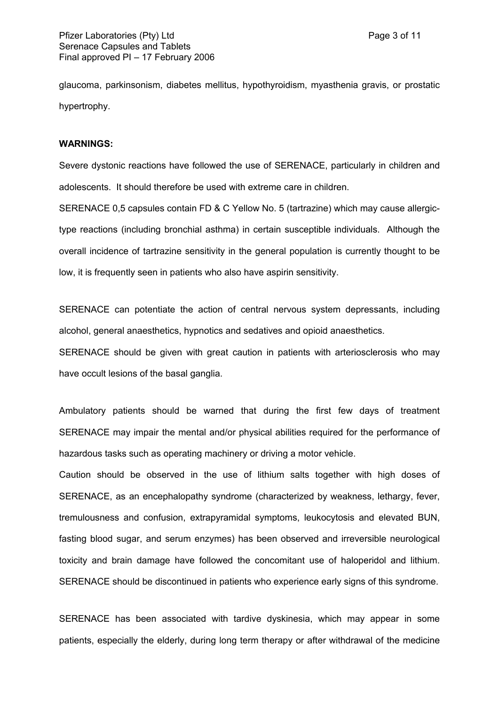glaucoma, parkinsonism, diabetes mellitus, hypothyroidism, myasthenia gravis, or prostatic hypertrophy.

#### **WARNINGS:**

Severe dystonic reactions have followed the use of SERENACE, particularly in children and adolescents. It should therefore be used with extreme care in children.

SERENACE 0,5 capsules contain FD & C Yellow No. 5 (tartrazine) which may cause allergictype reactions (including bronchial asthma) in certain susceptible individuals. Although the overall incidence of tartrazine sensitivity in the general population is currently thought to be low, it is frequently seen in patients who also have aspirin sensitivity.

SERENACE can potentiate the action of central nervous system depressants, including alcohol, general anaesthetics, hypnotics and sedatives and opioid anaesthetics.

SERENACE should be given with great caution in patients with arteriosclerosis who may have occult lesions of the basal ganglia.

Ambulatory patients should be warned that during the first few days of treatment SERENACE may impair the mental and/or physical abilities required for the performance of hazardous tasks such as operating machinery or driving a motor vehicle.

Caution should be observed in the use of lithium salts together with high doses of SERENACE, as an encephalopathy syndrome (characterized by weakness, lethargy, fever, tremulousness and confusion, extrapyramidal symptoms, leukocytosis and elevated BUN, fasting blood sugar, and serum enzymes) has been observed and irreversible neurological toxicity and brain damage have followed the concomitant use of haloperidol and lithium. SERENACE should be discontinued in patients who experience early signs of this syndrome.

SERENACE has been associated with tardive dyskinesia, which may appear in some patients, especially the elderly, during long term therapy or after withdrawal of the medicine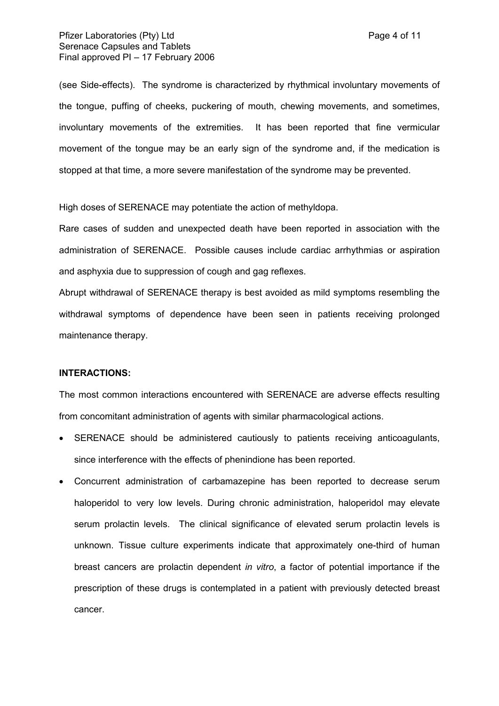### Pfizer Laboratories (Pty) Ltd **Page 4 of 11** and Page 4 of 11 Serenace Capsules and Tablets Final approved PI – 17 February 2006

(see Side-effects). The syndrome is characterized by rhythmical involuntary movements of the tongue, puffing of cheeks, puckering of mouth, chewing movements, and sometimes, involuntary movements of the extremities. It has been reported that fine vermicular movement of the tongue may be an early sign of the syndrome and, if the medication is stopped at that time, a more severe manifestation of the syndrome may be prevented.

High doses of SERENACE may potentiate the action of methyldopa.

Rare cases of sudden and unexpected death have been reported in association with the administration of SERENACE. Possible causes include cardiac arrhythmias or aspiration and asphyxia due to suppression of cough and gag reflexes.

Abrupt withdrawal of SERENACE therapy is best avoided as mild symptoms resembling the withdrawal symptoms of dependence have been seen in patients receiving prolonged maintenance therapy.

## **INTERACTIONS:**

The most common interactions encountered with SERENACE are adverse effects resulting from concomitant administration of agents with similar pharmacological actions.

- SERENACE should be administered cautiously to patients receiving anticoagulants, since interference with the effects of phenindione has been reported.
- Concurrent administration of carbamazepine has been reported to decrease serum haloperidol to very low levels. During chronic administration, haloperidol may elevate serum prolactin levels. The clinical significance of elevated serum prolactin levels is unknown. Tissue culture experiments indicate that approximately one-third of human breast cancers are prolactin dependent *in vitro*, a factor of potential importance if the prescription of these drugs is contemplated in a patient with previously detected breast cancer.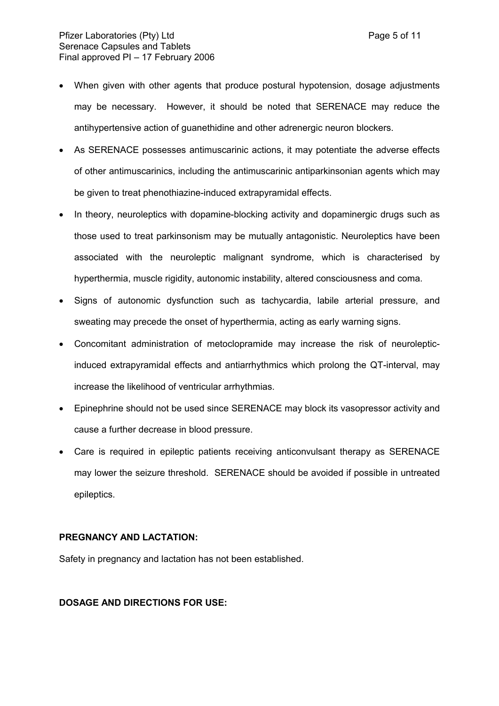- As SERENACE possesses antimuscarinic actions, it may potentiate the adverse effects of other antimuscarinics, including the antimuscarinic antiparkinsonian agents which may be given to treat phenothiazine-induced extrapyramidal effects.
- In theory, neuroleptics with dopamine-blocking activity and dopaminergic drugs such as those used to treat parkinsonism may be mutually antagonistic. Neuroleptics have been associated with the neuroleptic malignant syndrome, which is characterised by hyperthermia, muscle rigidity, autonomic instability, altered consciousness and coma.
- Signs of autonomic dysfunction such as tachycardia, labile arterial pressure, and sweating may precede the onset of hyperthermia, acting as early warning signs.
- Concomitant administration of metoclopramide may increase the risk of neurolepticinduced extrapyramidal effects and antiarrhythmics which prolong the QT-interval, may increase the likelihood of ventricular arrhythmias.
- Epinephrine should not be used since SERENACE may block its vasopressor activity and cause a further decrease in blood pressure.
- Care is required in epileptic patients receiving anticonvulsant therapy as SERENACE may lower the seizure threshold. SERENACE should be avoided if possible in untreated epileptics.

## **PREGNANCY AND LACTATION:**

Safety in pregnancy and lactation has not been established.

## **DOSAGE AND DIRECTIONS FOR USE:**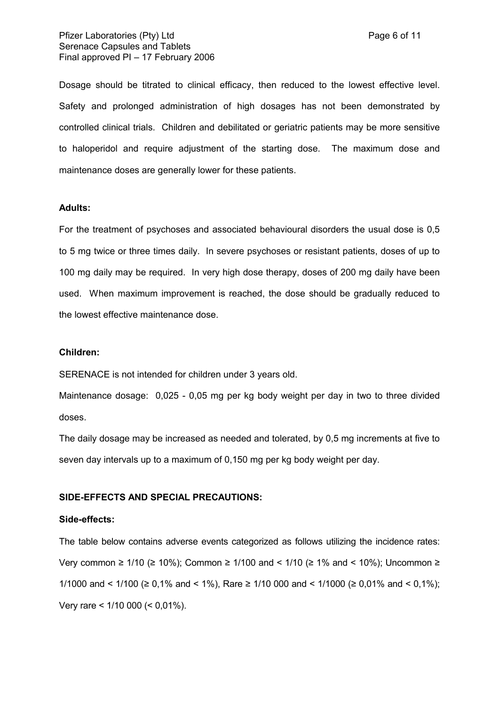Dosage should be titrated to clinical efficacy, then reduced to the lowest effective level. Safety and prolonged administration of high dosages has not been demonstrated by controlled clinical trials. Children and debilitated or geriatric patients may be more sensitive to haloperidol and require adjustment of the starting dose. The maximum dose and maintenance doses are generally lower for these patients.

### **Adults:**

For the treatment of psychoses and associated behavioural disorders the usual dose is 0,5 to 5 mg twice or three times daily. In severe psychoses or resistant patients, doses of up to 100 mg daily may be required. In very high dose therapy, doses of 200 mg daily have been used. When maximum improvement is reached, the dose should be gradually reduced to the lowest effective maintenance dose.

#### **Children:**

SERENACE is not intended for children under 3 years old.

Maintenance dosage: 0,025 - 0,05 mg per kg body weight per day in two to three divided doses.

The daily dosage may be increased as needed and tolerated, by 0,5 mg increments at five to seven day intervals up to a maximum of 0,150 mg per kg body weight per day.

#### **SIDE-EFFECTS AND SPECIAL PRECAUTIONS:**

#### **Side-effects:**

The table below contains adverse events categorized as follows utilizing the incidence rates: Very common ≥ 1/10 (≥ 10%); Common ≥ 1/100 and < 1/10 (≥ 1% and < 10%); Uncommon ≥ 1/1000 and < 1/100 (≥ 0.1% and < 1%), Rare ≥ 1/10 000 and < 1/1000 (≥ 0.01% and < 0.1%); Very rare < 1/10 000 (< 0,01%).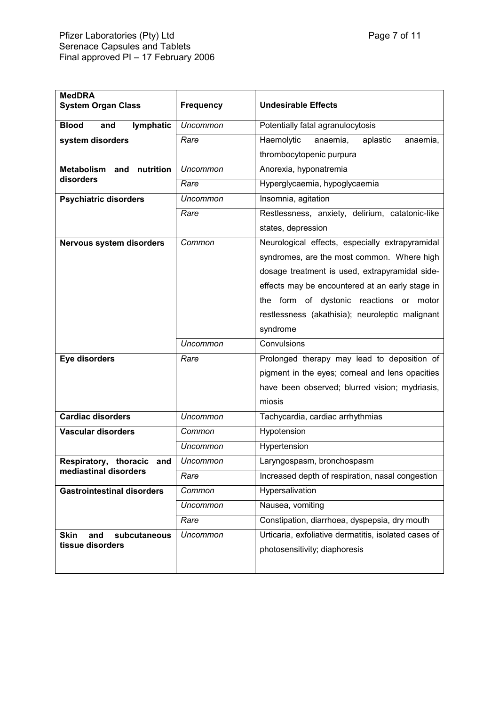| <b>MedDRA</b><br><b>System Organ Class</b>         | <b>Frequency</b> | <b>Undesirable Effects</b>                           |
|----------------------------------------------------|------------------|------------------------------------------------------|
|                                                    |                  |                                                      |
| <b>Blood</b><br>and<br>lymphatic                   | Uncommon         | Potentially fatal agranulocytosis                    |
| system disorders                                   | Rare             | Haemolytic<br>anaemia,<br>aplastic<br>anaemia,       |
|                                                    |                  | thrombocytopenic purpura                             |
| nutrition<br><b>Metabolism</b><br>and<br>disorders | <b>Uncommon</b>  | Anorexia, hyponatremia                               |
|                                                    | Rare             | Hyperglycaemia, hypoglycaemia                        |
| <b>Psychiatric disorders</b>                       | <b>Uncommon</b>  | Insomnia, agitation                                  |
|                                                    | Rare             | Restlessness, anxiety, delirium, catatonic-like      |
|                                                    |                  | states, depression                                   |
| Nervous system disorders                           | Common           | Neurological effects, especially extrapyramidal      |
|                                                    |                  | syndromes, are the most common. Where high           |
|                                                    |                  | dosage treatment is used, extrapyramidal side-       |
|                                                    |                  | effects may be encountered at an early stage in      |
|                                                    |                  | the form of dystonic reactions or motor              |
|                                                    |                  | restlessness (akathisia); neuroleptic malignant      |
|                                                    |                  | syndrome                                             |
|                                                    | <b>Uncommon</b>  | Convulsions                                          |
| Eye disorders                                      | Rare             | Prolonged therapy may lead to deposition of          |
|                                                    |                  | pigment in the eyes; corneal and lens opacities      |
|                                                    |                  | have been observed; blurred vision; mydriasis,       |
|                                                    |                  | miosis                                               |
| <b>Cardiac disorders</b>                           | <b>Uncommon</b>  | Tachycardia, cardiac arrhythmias                     |
| <b>Vascular disorders</b>                          | Common           | Hypotension                                          |
|                                                    | <b>Uncommon</b>  | Hypertension                                         |
| Respiratory, thoracic and<br>mediastinal disorders | Uncommon         | Laryngospasm, bronchospasm                           |
|                                                    | Rare             | Increased depth of respiration, nasal congestion     |
| <b>Gastrointestinal disorders</b>                  | Common           | Hypersalivation                                      |
|                                                    | Uncommon         | Nausea, vomiting                                     |
|                                                    | Rare             | Constipation, diarrhoea, dyspepsia, dry mouth        |
| <b>Skin</b><br>and<br>subcutaneous                 | Uncommon         | Urticaria, exfoliative dermatitis, isolated cases of |
| tissue disorders                                   |                  | photosensitivity; diaphoresis                        |
|                                                    |                  |                                                      |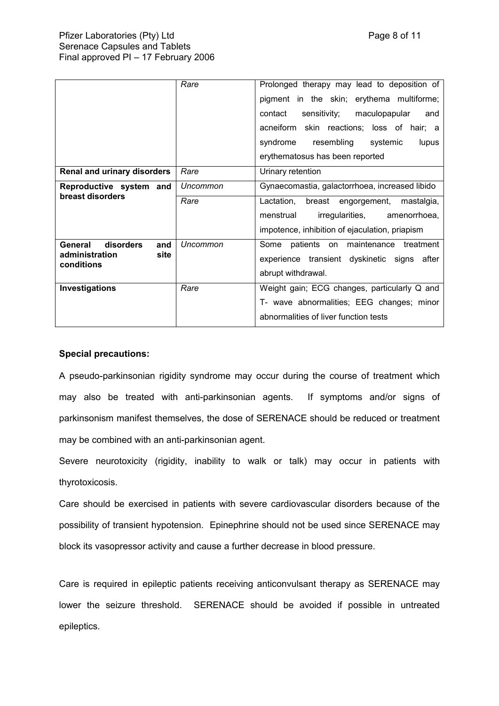|                                                                     | Rare     | Prolonged therapy may lead to deposition of<br>pigment in the skin; erythema multiforme;<br>sensitivity;<br>maculopapular<br>contact<br>and<br>acneiform skin reactions; loss of hair; a<br>resembling<br>syndrome<br>systemic<br>lupus<br>erythematosus has been reported |
|---------------------------------------------------------------------|----------|----------------------------------------------------------------------------------------------------------------------------------------------------------------------------------------------------------------------------------------------------------------------------|
| Renal and urinary disorders                                         | Rare     | Urinary retention                                                                                                                                                                                                                                                          |
| Reproductive system and<br>breast disorders                         | Uncommon | Gynaecomastia, galactorrhoea, increased libido                                                                                                                                                                                                                             |
|                                                                     | Rare     | Lactation,<br>breast engorgement,<br>mastalgia,                                                                                                                                                                                                                            |
|                                                                     |          | menstrual<br>irregularities,<br>amenorrhoea,                                                                                                                                                                                                                               |
|                                                                     |          | impotence, inhibition of ejaculation, priapism                                                                                                                                                                                                                             |
| disorders<br>General<br>and<br>administration<br>site<br>conditions | Uncommon | patients on maintenance treatment<br>Some                                                                                                                                                                                                                                  |
|                                                                     |          | experience transient dyskinetic signs<br>after                                                                                                                                                                                                                             |
|                                                                     |          | abrupt withdrawal.                                                                                                                                                                                                                                                         |
| Investigations                                                      | Rare     | Weight gain; ECG changes, particularly Q and                                                                                                                                                                                                                               |
|                                                                     |          | T- wave abnormalities; EEG changes; minor                                                                                                                                                                                                                                  |
|                                                                     |          | abnormalities of liver function tests                                                                                                                                                                                                                                      |

## **Special precautions:**

A pseudo-parkinsonian rigidity syndrome may occur during the course of treatment which may also be treated with anti-parkinsonian agents. If symptoms and/or signs of parkinsonism manifest themselves, the dose of SERENACE should be reduced or treatment may be combined with an anti-parkinsonian agent.

Severe neurotoxicity (rigidity, inability to walk or talk) may occur in patients with thyrotoxicosis.

Care should be exercised in patients with severe cardiovascular disorders because of the possibility of transient hypotension. Epinephrine should not be used since SERENACE may block its vasopressor activity and cause a further decrease in blood pressure.

Care is required in epileptic patients receiving anticonvulsant therapy as SERENACE may lower the seizure threshold. SERENACE should be avoided if possible in untreated epileptics.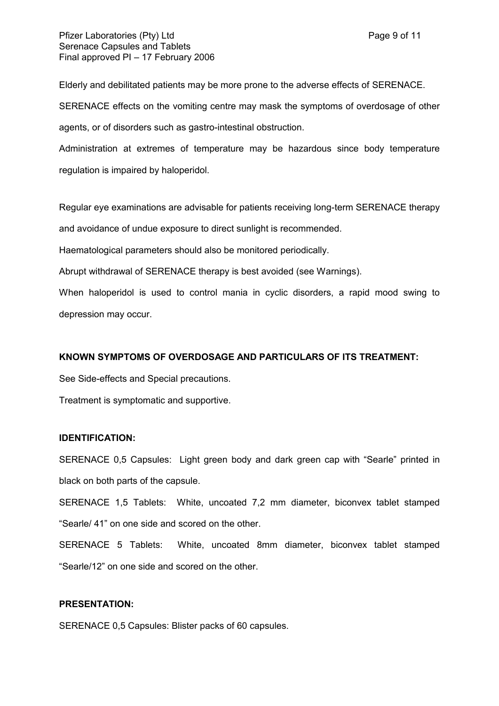Elderly and debilitated patients may be more prone to the adverse effects of SERENACE. SERENACE effects on the vomiting centre may mask the symptoms of overdosage of other agents, or of disorders such as gastro-intestinal obstruction.

Administration at extremes of temperature may be hazardous since body temperature regulation is impaired by haloperidol.

Regular eye examinations are advisable for patients receiving long-term SERENACE therapy and avoidance of undue exposure to direct sunlight is recommended.

Haematological parameters should also be monitored periodically.

Abrupt withdrawal of SERENACE therapy is best avoided (see Warnings).

When haloperidol is used to control mania in cyclic disorders, a rapid mood swing to depression may occur.

## **KNOWN SYMPTOMS OF OVERDOSAGE AND PARTICULARS OF ITS TREATMENT:**

See Side-effects and Special precautions.

Treatment is symptomatic and supportive.

#### **IDENTIFICATION:**

SERENACE 0,5 Capsules: Light green body and dark green cap with "Searle" printed in black on both parts of the capsule.

SERENACE 1,5 Tablets: White, uncoated 7,2 mm diameter, biconvex tablet stamped "Searle/ 41" on one side and scored on the other.

SERENACE 5 Tablets: White, uncoated 8mm diameter, biconvex tablet stamped "Searle/12" on one side and scored on the other.

## **PRESENTATION:**

SERENACE 0,5 Capsules: Blister packs of 60 capsules.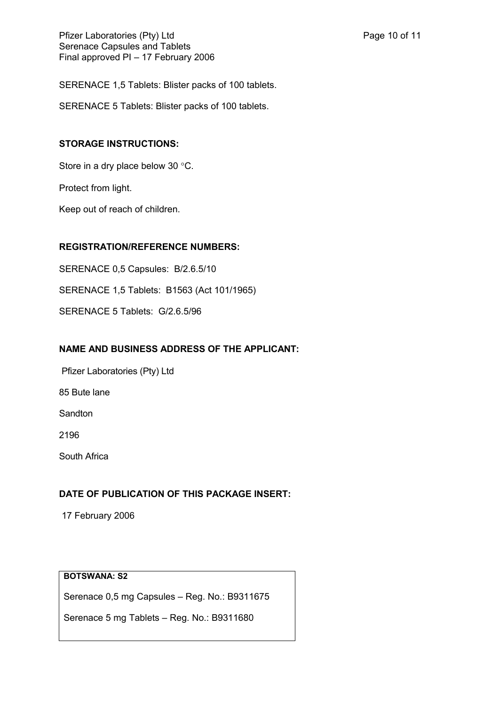SERENACE 1,5 Tablets: Blister packs of 100 tablets.

SERENACE 5 Tablets: Blister packs of 100 tablets.

## **STORAGE INSTRUCTIONS:**

Store in a dry place below 30 °C.

Protect from light.

Keep out of reach of children.

## **REGISTRATION/REFERENCE NUMBERS:**

SERENACE 0,5 Capsules: B/2.6.5/10

SERENACE 1,5 Tablets: B1563 (Act 101/1965)

SERENACE 5 Tablets: G/2.6.5/96

# **NAME AND BUSINESS ADDRESS OF THE APPLICANT:**

Pfizer Laboratories (Pty) Ltd

85 Bute lane

Sandton

2196

South Africa

# **DATE OF PUBLICATION OF THIS PACKAGE INSERT:**

17 February 2006

# **BOTSWANA: S2**

Serenace 0,5 mg Capsules – Reg. No.: B9311675

Serenace 5 mg Tablets – Reg. No.: B9311680